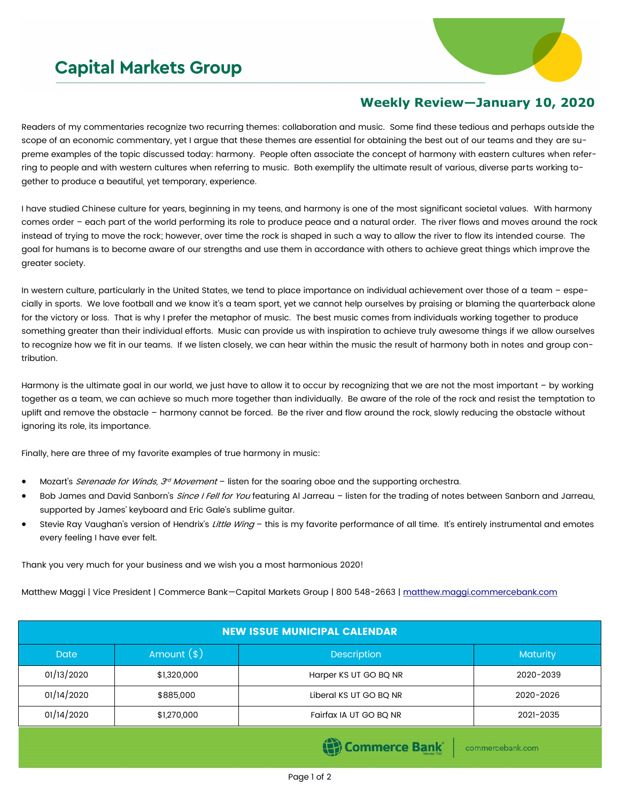## **Capital Markets Group**



## **Weekly Review—January 10, 2020**

Readers of my commentaries recognize two recurring themes: collaboration and music. Some find these tedious and perhaps outside the scope of an economic commentary, yet I argue that these themes are essential for obtaining the best out of our teams and they are supreme examples of the topic discussed today: harmony. People often associate the concept of harmony with eastern cultures when referring to people and with western cultures when referring to music. Both exemplify the ultimate result of various, diverse parts working together to produce a beautiful, yet temporary, experience.

I have studied Chinese culture for years, beginning in my teens, and harmony is one of the most significant societal values. With harmony comes order – each part of the world performing its role to produce peace and a natural order. The river flows and moves around the rock instead of trying to move the rock; however, over time the rock is shaped in such a way to allow the river to flow its intended course. The goal for humans is to become aware of our strengths and use them in accordance with others to achieve great things which improve the greater society.

In western culture, particularly in the United States, we tend to place importance on individual achievement over those of a team – especially in sports. We love football and we know it's a team sport, yet we cannot help ourselves by praising or blaming the quarterback alone for the victory or loss. That is why I prefer the metaphor of music. The best music comes from individuals working together to produce something greater than their individual efforts. Music can provide us with inspiration to achieve truly awesome things if we allow ourselves to recognize how we fit in our teams. If we listen closely, we can hear within the music the result of harmony both in notes and group contribution.

Harmony is the ultimate goal in our world, we just have to allow it to occur by recognizing that we are not the most important – by working together as a team, we can achieve so much more together than individually. Be aware of the role of the rock and resist the temptation to uplift and remove the obstacle – harmony cannot be forced. Be the river and flow around the rock, slowly reducing the obstacle without ignoring its role, its importance.

Finally, here are three of my favorite examples of true harmony in music:

- Mozart's *Serenade for Winds, 3<sup>d</sup> Movement* listen for the soaring oboe and the supporting orchestra.
- Bob James and David Sanborn's *Since I Fell for You* featuring Al Jarreau listen for the trading of notes between Sanborn and Jarreau, supported by James' keyboard and Eric Gale's sublime guitar.
- Stevie Ray Vaughan's version of Hendrix's Little Wing this is my favorite performance of all time. It's entirely instrumental and emotes every feeling I have ever felt.

Thank you very much for your business and we wish you a most harmonious 2020!

Matthew Maggi | Vice President | Commerce Bank—Capital Markets Group | 800 548-2663 | [matthew.maggi.commercebank.com](mailto:matthew.maggi@commercebank.com)

| <b>NEW ISSUE MUNICIPAL CALENDAR</b> |              |                        |           |  |  |  |  |  |  |  |
|-------------------------------------|--------------|------------------------|-----------|--|--|--|--|--|--|--|
| Date                                | Amount $(*)$ | <b>Maturity</b>        |           |  |  |  |  |  |  |  |
| 01/13/2020                          | \$1,320,000  | Harper KS UT GO BQ NR  | 2020-2039 |  |  |  |  |  |  |  |
| 01/14/2020                          | \$885,000    | Liberal KS UT GO BQ NR | 2020-2026 |  |  |  |  |  |  |  |
| 01/14/2020                          | \$1,270,000  | Fairfax IA UT GO BQ NR | 2021-2035 |  |  |  |  |  |  |  |
|                                     |              |                        |           |  |  |  |  |  |  |  |

Commerce Bank

commercebank.com